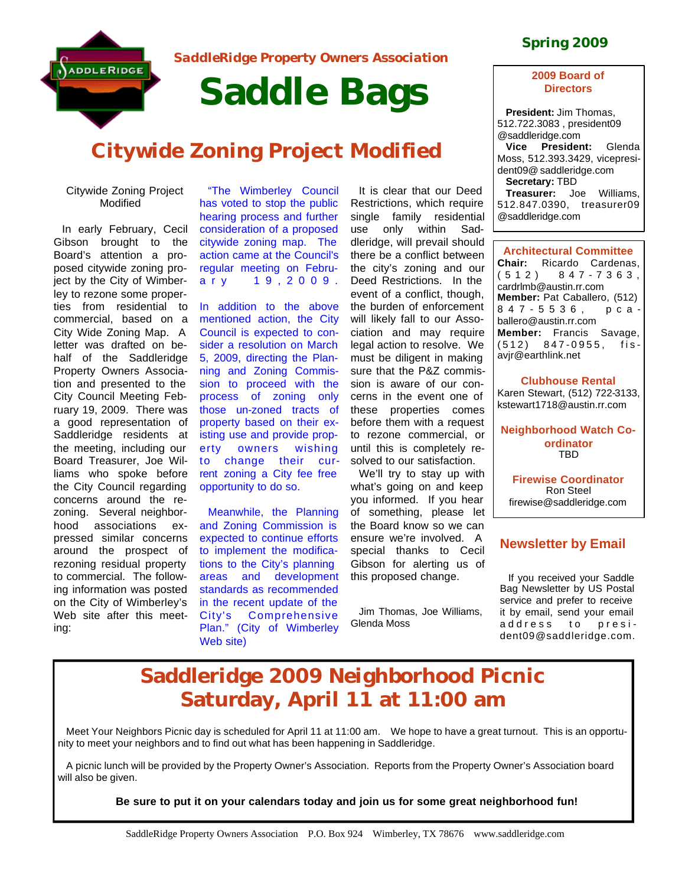

*SaddleRidge Property Owners Association* 

# **Saddle Bags**

# **Citywide Zoning Project Modified**

#### Citywide Zoning Project Modified

In early February, Cecil Gibson brought to the Board's attention a proposed citywide zoning project by the City of Wimberley to rezone some properties from residential to commercial, based on a City Wide Zoning Map. A letter was drafted on behalf of the Saddleridge Property Owners Association and presented to the City Council Meeting February 19, 2009. There was a good representation of Saddleridge residents at the meeting, including our Board Treasurer, Joe Williams who spoke before the City Council regarding concerns around the rezoning. Several neighborhood associations expressed similar concerns around the prospect of rezoning residual property to commercial. The following information was posted on the City of Wimberley's Web site after this meeting:

"The Wimberley Council has voted to stop the public hearing process and further consideration of a proposed citywide zoning map. The action came at the Council's regular meeting on February 19,2009.

In addition to the above mentioned action, the City Council is expected to consider a resolution on March 5, 2009, directing the Planning and Zoning Commission to proceed with the process of zoning only those un-zoned tracts of property based on their existing use and provide property owners wishing to change their current zoning a City fee free opportunity to do so.

Meanwhile, the Planning and Zoning Commission is expected to continue efforts to implement the modifications to the City's planning areas and development standards as recommended in the recent update of the City's Comprehensive Plan." (City of Wimberley Web site)

It is clear that our Deed Restrictions, which require single family residential use only within Saddleridge, will prevail should there be a conflict between the city's zoning and our Deed Restrictions. In the event of a conflict, though, the burden of enforcement will likely fall to our Association and may require legal action to resolve. We must be diligent in making sure that the P&Z commission is aware of our concerns in the event one of these properties comes before them with a request to rezone commercial, or until this is completely resolved to our satisfaction.

We'll try to stay up with what's going on and keep you informed. If you hear of something, please let the Board know so we can ensure we're involved. A special thanks to Cecil Gibson for alerting us of this proposed change.

Jim Thomas, Joe Williams, Glenda Moss

### **Spring 2009**

#### **2009 Board of Directors**

**President:** Jim Thomas, 512.722.3083 , president09 @saddleridge.com **Vice President:** Glenda Moss, 512.393.3429, vicepresident09@ saddleridge.com **Secretary:** TBD **Treasurer:** Joe Williams, 512.847.0390, treasurer09 @saddleridge.com

**Architectural Committee Chair:** Ricardo Cardenas, (512) 847 - 7363 , cardrlmb@austin.rr.com **Member:** Pat Caballero, (512) 847 - 5536, pcaballero@austin.rr.com **Member:** Francis Savage, (512) 847 - 0955, fisavjr@earthlink.net

**Clubhouse Rental** Karen Stewart, (512) 722-3133, kstewart1718@austin.rr.com

**Neighborhood Watch Coordinator** TBD

**Firewise Coordinator** Ron Steel firewise@saddleridge.com

### **Newsletter by Email**

If you received your Saddle Bag Newsletter by US Postal service and prefer to receive it by email, send your email address to president09@saddleridge.com.

# **Saddleridge 2009 Neighborhood Picnic Saturday, April 11 at 11:00 am**

Meet Your Neighbors Picnic day is scheduled for April 11 at 11:00 am. We hope to have a great turnout. This is an opportunity to meet your neighbors and to find out what has been happening in Saddleridge.

A picnic lunch will be provided by the Property Owner's Association. Reports from the Property Owner's Association board will also be given.

#### **Be sure to put it on your calendars today and join us for some great neighborhood fun!**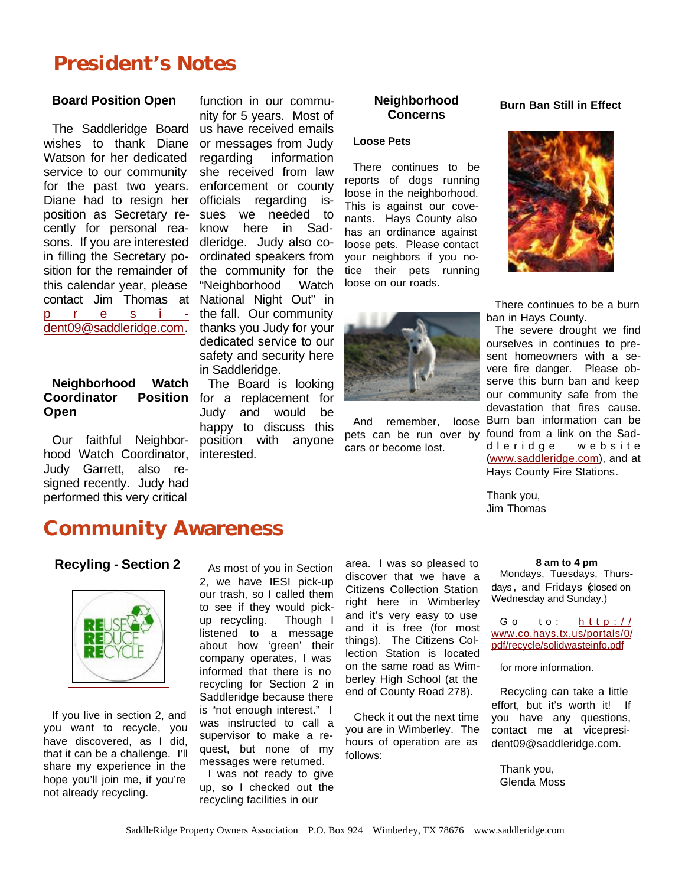# **President's Notes**

#### **Board Position Open**

The Saddleridge Board wishes to thank Diane Watson for her dedicated service to our community for the past two years. Diane had to resign her position as Secretary recently for personal reasons. If you are interested in filling the Secretary position for the remainder of this calendar year, please contact Jim Thomas at president09@saddleridge.com.

#### **Neighborhood Watch Coordinator Position Open**

Our faithful Neighborhood Watch Coordinator, Judy Garrett, also resigned recently. Judy had performed this very critical

function in our community for 5 years. Most of us have received emails or messages from Judy regarding information she received from law enforcement or county officials regarding issues we needed to know here in Saddleridge. Judy also coordinated speakers from the community for the "Neighborhood Watch National Night Out" in the fall. Our community thanks you Judy for your dedicated service to our safety and security here in Saddleridge.

The Board is looking for a replacement for Judy and would be happy to discuss this position with anyone interested.

#### **Neighborhood Concerns**

#### **Loose Pets**

There continues to be reports of dogs running loose in the neighborhood. This is against our covenants. Hays County also has an ordinance against loose pets. Please contact your neighbors if you notice their pets running loose on our roads.



**Burn Ban Still in Effect**

cars or become lost.

There continues to be a burn ban in Hays County.

And remember, loose Burn ban information can be pets can be run over by found from a link on the Sad-The severe drought we find ourselves in continues to present homeowners with a severe fire danger. Please observe this burn ban and keep our community safe from the devastation that fires cause. dleridge website (www.saddleridge.com), and at Hays County Fire Stations.

> Thank you, Jim Thomas

## **Community Awareness**

#### **Recyling - Section 2 8** As most of you in Section area. I was so pleased to **8** am to 4 pm



If you live in section 2, and you want to recycle, you have discovered, as I did, that it can be a challenge. I'll share my experience in the hope you'll join me, if you're not already recycling.

As most of you in Section 2, we have IESI pick-up our trash, so I called them to see if they would pickup recycling. Though I listened to a message about how 'green' their company operates, I was informed that there is no recycling for Section 2 in Saddleridge because there is "not enough interest." I was instructed to call a supervisor to make a request, but none of my messages were returned.

I was not ready to give up, so I checked out the recycling facilities in our

area. I was so pleased to discover that we have a Citizens Collection Station right here in Wimberley and it's very easy to use and it is free (for most things). The Citizens Collection Station is located on the same road as Wimberley High School (at the end of County Road 278).

Check it out the next time you are in Wimberley. The hours of operation are as follows:

Mondays, Tuesdays, Thursdays , and Fridays (closed on Wednesday and Sunday.)

Go to: http:// www.co.hays.tx.us/portals/0/ pdf/recycle/solidwasteinfo.pdf

for more information.

Recycling can take a little effort, but it's worth it! If you have any questions, contact me at vicepresident09@saddleridge.com.

Thank you, Glenda Moss